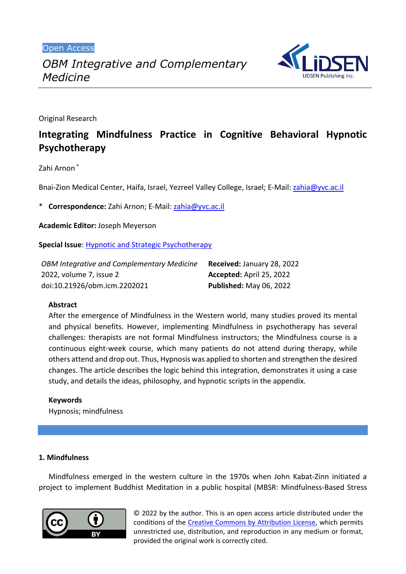Open Access



Original Research

# **Integrating Mindfulness Practice in Cognitive Behavioral Hypnotic Psychotherapy**

Zahi Arnon \*

Bnai-Zion Medical Center, Haifa, Israel, Yezreel Valley College, Israel; E-Mail: [zahia@yvc.ac.il](mailto:zahia@yvc.ac.il)

\* **Correspondence:** Zahi Arnon; E-Mail: [zahia@yvc.ac.il](mailto:zahia@yvc.ac.il)

**Academic Editor:** Joseph Meyerson

**Special Issue**: [Hypnotic and Strategic Psychotherapy](https://www.lidsen.com/journals/icm/icm-special-issues/hypnotic-strategic-psychotherapy)

| OBM Integrative and Complementary Medicine | Received: January 28, 2022     |
|--------------------------------------------|--------------------------------|
| 2022, volume 7, issue 2                    | Accepted: April 25, 2022       |
| doi:10.21926/obm.icm.2202021               | <b>Published: May 06, 2022</b> |

## **Abstract**

After the emergence of Mindfulness in the Western world, many studies proved its mental and physical benefits. However, implementing Mindfulness in psychotherapy has several challenges: therapists are not formal Mindfulness instructors; the Mindfulness course is a continuous eight-week course, which many patients do not attend during therapy, while others attend and drop out. Thus, Hypnosis was applied to shorten and strengthen the desired changes. The article describes the logic behind this integration, demonstrates it using a case study, and details the ideas, philosophy, and hypnotic scripts in the appendix.

## **Keywords**

Hypnosis; mindfulness

## **1. Mindfulness**

Mindfulness emerged in the western culture in the 1970s when John Kabat-Zinn initiated a project to implement Buddhist Meditation in a public hospital (MBSR: Mindfulness-Based Stress



© 2022 by the author. This is an open access article distributed under the conditions of the [Creative Commons by Attribution License,](http://creativecommons.org/licenses/by/4.0/) which permits unrestricted use, distribution, and reproduction in any medium or format, provided the original work is correctly cited.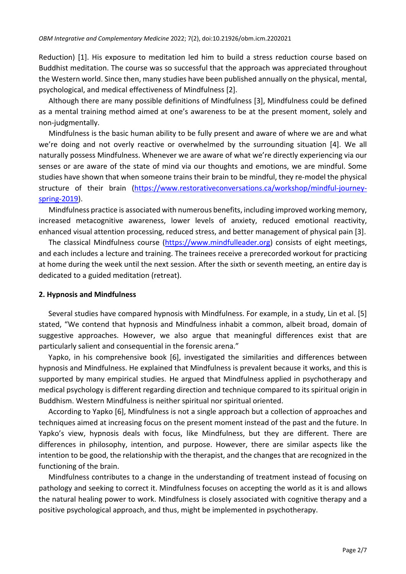Reduction) [1]. His exposure to meditation led him to build a stress reduction course based on Buddhist meditation. The course was so successful that the approach was appreciated throughout the Western world. Since then, many studies have been published annually on the physical, mental, psychological, and medical effectiveness of Mindfulness [2].

Although there are many possible definitions of Mindfulness [3], Mindfulness could be defined as a mental training method aimed at one's awareness to be at the present moment, solely and non-judgmentally.

Mindfulness is the basic human ability to be fully present and aware of where we are and what we're doing and not overly reactive or overwhelmed by the surrounding situation [4]. We all naturally possess Mindfulness. Whenever we are aware of what we're directly experiencing via our senses or are aware of the state of mind via our thoughts and emotions, we are mindful. Some studies have shown that when someone trains their brain to be mindful, they re-model the physical structure of their brain [\(https://www.restorativeconversations.ca/workshop/mindful-journey](https://www.restorativeconversations.ca/workshop/mindful-journey-spring-2019)[spring-2019\)](https://www.restorativeconversations.ca/workshop/mindful-journey-spring-2019).

Mindfulness practice is associated with numerous benefits, including improved working memory, increased metacognitive awareness, lower levels of anxiety, reduced emotional reactivity, enhanced visual attention processing, reduced stress, and better management of physical pain [3].

The classical Mindfulness course [\(https://www.mindfulleader.org\)](https://www.mindfulleader.org/) consists of eight meetings, and each includes a lecture and training. The trainees receive a prerecorded workout for practicing at home during the week until the next session. After the sixth or seventh meeting, an entire day is dedicated to a guided meditation (retreat).

#### **2. Hypnosis and Mindfulness**

Several studies have compared hypnosis with Mindfulness. For example, in a study, Lin et al. [5] stated, "We contend that hypnosis and Mindfulness inhabit a common, albeit broad, domain of suggestive approaches. However, we also argue that meaningful differences exist that are particularly salient and consequential in the forensic arena."

Yapko, in his comprehensive book [6], investigated the similarities and differences between hypnosis and Mindfulness. He explained that Mindfulness is prevalent because it works, and this is supported by many empirical studies. He argued that Mindfulness applied in psychotherapy and medical psychology is different regarding direction and technique compared to its spiritual origin in Buddhism. Western Mindfulness is neither spiritual nor spiritual oriented.

According to Yapko [6], Mindfulness is not a single approach but a collection of approaches and techniques aimed at increasing focus on the present moment instead of the past and the future. In Yapko's view, hypnosis deals with focus, like Mindfulness, but they are different. There are differences in philosophy, intention, and purpose. However, there are similar aspects like the intention to be good, the relationship with the therapist, and the changes that are recognized in the functioning of the brain.

Mindfulness contributes to a change in the understanding of treatment instead of focusing on pathology and seeking to correct it. Mindfulness focuses on accepting the world as it is and allows the natural healing power to work. Mindfulness is closely associated with cognitive therapy and a positive psychological approach, and thus, might be implemented in psychotherapy.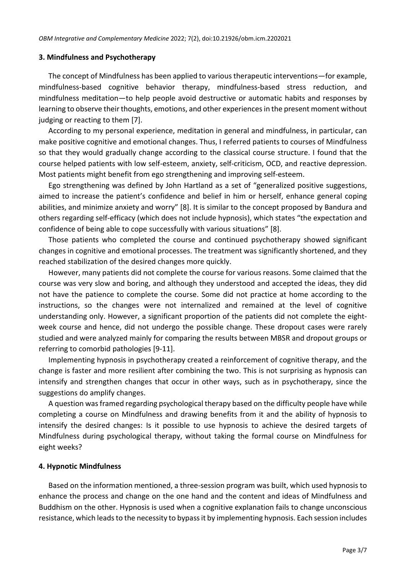#### **3. Mindfulness and Psychotherapy**

The concept of Mindfulness has been applied to various therapeutic interventions—for example, mindfulness-based cognitive behavior therapy, mindfulness-based stress reduction, and mindfulness meditation—to help people avoid destructive or automatic habits and responses by learning to observe their thoughts, emotions, and other experiences in the present moment without judging or reacting to them [7].

According to my personal experience, meditation in general and mindfulness, in particular, can make positive cognitive and emotional changes. Thus, I referred patients to courses of Mindfulness so that they would gradually change according to the classical course structure. I found that the course helped patients with low self-esteem, anxiety, self-criticism, OCD, and reactive depression. Most patients might benefit from ego strengthening and improving self-esteem.

Ego strengthening was defined by John Hartland as a set of "generalized positive suggestions, aimed to increase the patient's confidence and belief in him or herself, enhance general coping abilities, and minimize anxiety and worry" [8]. It is similar to the concept proposed by Bandura and others regarding self-efficacy (which does not include hypnosis), which states "the expectation and confidence of being able to cope successfully with various situations" [8].

Those patients who completed the course and continued psychotherapy showed significant changes in cognitive and emotional processes. The treatment was significantly shortened, and they reached stabilization of the desired changes more quickly.

However, many patients did not complete the course for various reasons. Some claimed that the course was very slow and boring, and although they understood and accepted the ideas, they did not have the patience to complete the course. Some did not practice at home according to the instructions, so the changes were not internalized and remained at the level of cognitive understanding only. However, a significant proportion of the patients did not complete the eightweek course and hence, did not undergo the possible change. These dropout cases were rarely studied and were analyzed mainly for comparing the results between MBSR and dropout groups or referring to comorbid pathologies [9-11].

Implementing hypnosis in psychotherapy created a reinforcement of cognitive therapy, and the change is faster and more resilient after combining the two. This is not surprising as hypnosis can intensify and strengthen changes that occur in other ways, such as in psychotherapy, since the suggestions do amplify changes.

A question was framed regarding psychological therapy based on the difficulty people have while completing a course on Mindfulness and drawing benefits from it and the ability of hypnosis to intensify the desired changes: Is it possible to use hypnosis to achieve the desired targets of Mindfulness during psychological therapy, without taking the formal course on Mindfulness for eight weeks?

## **4. Hypnotic Mindfulness**

Based on the information mentioned, a three-session program was built, which used hypnosis to enhance the process and change on the one hand and the content and ideas of Mindfulness and Buddhism on the other. Hypnosis is used when a cognitive explanation fails to change unconscious resistance, which leadsto the necessity to bypassit by implementing hypnosis. Each session includes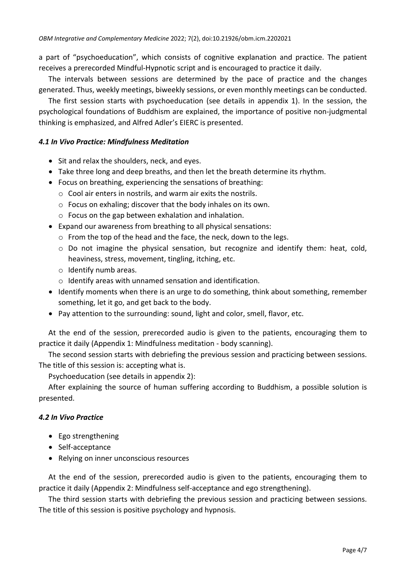a part of "psychoeducation", which consists of cognitive explanation and practice. The patient receives a prerecorded Mindful-Hypnotic script and is encouraged to practice it daily.

The intervals between sessions are determined by the pace of practice and the changes generated. Thus, weekly meetings, biweekly sessions, or even monthly meetings can be conducted.

The first session starts with psychoeducation (see details in appendix 1). In the session, the psychological foundations of Buddhism are explained, the importance of positive non-judgmental thinking is emphasized, and Alfred Adler's EIERC is presented.

## *4.1 In Vivo Practice: Mindfulness Meditation*

- Sit and relax the shoulders, neck, and eyes.
- Take three long and deep breaths, and then let the breath determine its rhythm.
- Focus on breathing, experiencing the sensations of breathing:
	- o Cool air enters in nostrils, and warm air exits the nostrils.
	- o Focus on exhaling; discover that the body inhales on its own.
	- o Focus on the gap between exhalation and inhalation.
- Expand our awareness from breathing to all physical sensations:
	- o From the top of the head and the face, the neck, down to the legs.
	- $\circ$  Do not imagine the physical sensation, but recognize and identify them: heat, cold, heaviness, stress, movement, tingling, itching, etc.
	- o Identify numb areas.
	- o Identify areas with unnamed sensation and identification.
- Identify moments when there is an urge to do something, think about something, remember something, let it go, and get back to the body.
- Pay attention to the surrounding: sound, light and color, smell, flavor, etc.

At the end of the session, prerecorded audio is given to the patients, encouraging them to practice it daily (Appendix 1: Mindfulness meditation - body scanning).

The second session starts with debriefing the previous session and practicing between sessions. The title of this session is: accepting what is.

Psychoeducation (see details in appendix 2):

After explaining the source of human suffering according to Buddhism, a possible solution is presented.

## *4.2 In Vivo Practice*

- Ego strengthening
- Self-acceptance
- Relying on inner unconscious resources

At the end of the session, prerecorded audio is given to the patients, encouraging them to practice it daily (Appendix 2: Mindfulness self-acceptance and ego strengthening).

The third session starts with debriefing the previous session and practicing between sessions. The title of this session is positive psychology and hypnosis.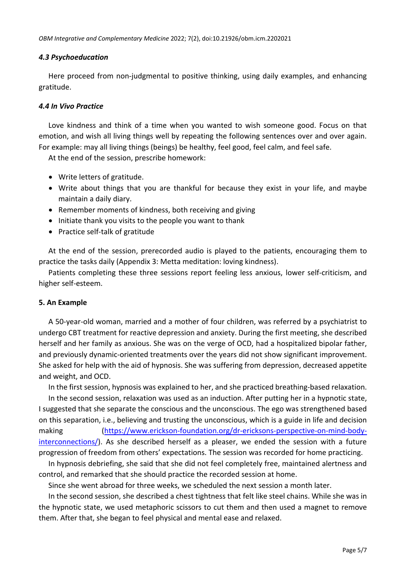## *4.3 Psychoeducation*

Here proceed from non-judgmental to positive thinking, using daily examples, and enhancing gratitude.

## *4.4 In Vivo Practice*

Love kindness and think of a time when you wanted to wish someone good. Focus on that emotion, and wish all living things well by repeating the following sentences over and over again. For example: may all living things (beings) be healthy, feel good, feel calm, and feel safe.

At the end of the session, prescribe homework:

- Write letters of gratitude.
- Write about things that you are thankful for because they exist in your life, and maybe maintain a daily diary.
- Remember moments of kindness, both receiving and giving
- Initiate thank you visits to the people you want to thank
- Practice self-talk of gratitude

At the end of the session, prerecorded audio is played to the patients, encouraging them to practice the tasks daily (Appendix 3: Metta meditation: loving kindness).

Patients completing these three sessions report feeling less anxious, lower self-criticism, and higher self-esteem.

## **5. An Example**

A 50-year-old woman, married and a mother of four children, was referred by a psychiatrist to undergo CBT treatment for reactive depression and anxiety. During the first meeting, she described herself and her family as anxious. She was on the verge of OCD, had a hospitalized bipolar father, and previously dynamic-oriented treatments over the years did not show significant improvement. She asked for help with the aid of hypnosis. She was suffering from depression, decreased appetite and weight, and OCD.

In the first session, hypnosis was explained to her, and she practiced breathing-based relaxation. In the second session, relaxation was used as an induction. After putting her in a hypnotic state, I suggested that she separate the conscious and the unconscious. The ego was strengthened based on this separation, i.e., believing and trusting the unconscious, which is a guide in life and decision making [\(https://www.erickson-foundation.org/dr-ericksons-perspective-on-mind-body](https://www.erickson-foundation.org/dr-ericksons-perspective-on-mind-body-interconnections/)[interconnections/\)](https://www.erickson-foundation.org/dr-ericksons-perspective-on-mind-body-interconnections/). As she described herself as a pleaser, we ended the session with a future progression of freedom from others' expectations . The session was recorded for home practicing.

In hypnosis debriefing, she said that she did not feel completely free, maintained alertness and control, and remarked that she should practice the recorded session at home.

Since she went abroad for three weeks, we scheduled the next session a month later.

In the second session, she described a chest tightness that felt like steel chains. While she was in the hypnotic state, we used metaphoric scissors to cut them and then used a magnet to remove them. After that, she began to feel physical and mental ease and relaxed.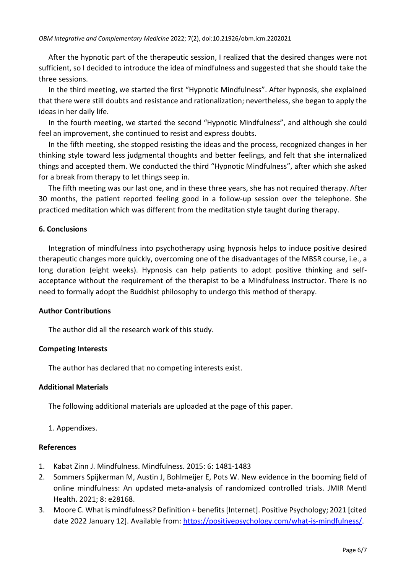After the hypnotic part of the therapeutic session, I realized that the desired changes were not sufficient, so I decided to introduce the idea of mindfulness and suggested that she should take the three sessions.

In the third meeting, we started the first "Hypnotic Mindfulness". After hypnosis, she explained that there were still doubts and resistance and rationalization; nevertheless, she began to apply the ideas in her daily life.

In the fourth meeting, we started the second "Hypnotic Mindfulness", and although she could feel an improvement, she continued to resist and express doubts.

In the fifth meeting, she stopped resisting the ideas and the process, recognized changes in her thinking style toward less judgmental thoughts and better feelings, and felt that she internalized things and accepted them. We conducted the third "Hypnotic Mindfulness", after which she asked for a break from therapy to let things seep in.

The fifth meeting was our last one, and in these three years, she has not required therapy. After 30 months, the patient reported feeling good in a follow-up session over the telephone. She practiced meditation which was different from the meditation style taught during therapy.

# **6. Conclusions**

Integration of mindfulness into psychotherapy using hypnosis helps to induce positive desired therapeutic changes more quickly, overcoming one of the disadvantages of the MBSR course, i.e., a long duration (eight weeks). Hypnosis can help patients to adopt positive thinking and selfacceptance without the requirement of the therapist to be a Mindfulness instructor. There is no need to formally adopt the Buddhist philosophy to undergo this method of therapy.

## **Author Contributions**

The author did all the research work of this study.

## **Competing Interests**

The author has declared that no competing interests exist.

## **Additional Materials**

The following additional materials are uploaded at the page of this paper.

# 1. Appendixes.

## **References**

- 1. Kabat Zinn J. Mindfulness. Mindfulness. 2015: 6: 1481-1483
- 2. Sommers Spijkerman M, Austin J, Bohlmeijer E, Pots W. New evidence in the booming field of online mindfulness: An updated meta-analysis of randomized controlled trials. JMIR Mentl Health. 2021; 8: e28168.
- 3. Moore C. What is mindfulness? Definition + benefits [Internet]. Positive Psychology; 2021 [cited date 2022 January 12]. Available from: [https://positivepsychology.com/what-is-mindfulness/.](https://positivepsychology.com/what-is-mindfulness/)